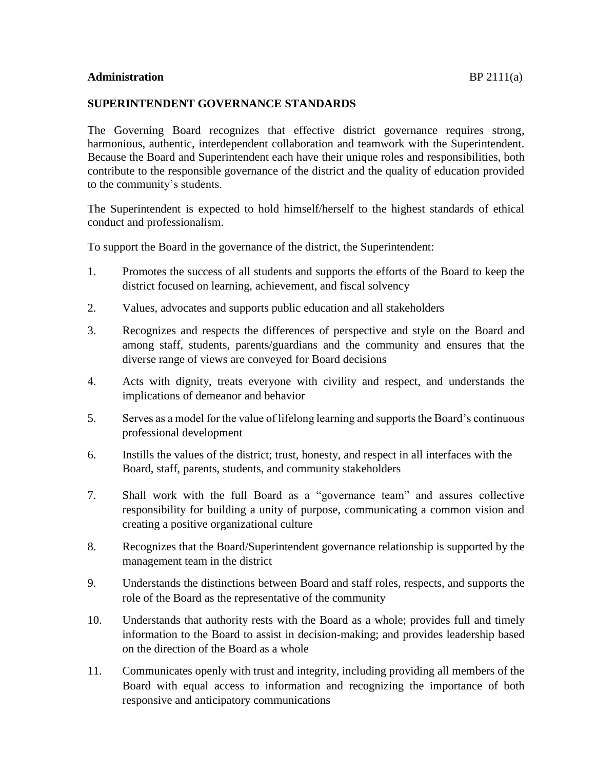## **SUPERINTENDENT GOVERNANCE STANDARDS**

The Governing Board recognizes that effective district governance requires strong, harmonious, authentic, interdependent collaboration and teamwork with the Superintendent. Because the Board and Superintendent each have their unique roles and responsibilities, both contribute to the responsible governance of the district and the quality of education provided to the community's students.

The Superintendent is expected to hold himself/herself to the highest standards of ethical conduct and professionalism.

To support the Board in the governance of the district, the Superintendent:

- 1. Promotes the success of all students and supports the efforts of the Board to keep the district focused on learning, achievement, and fiscal solvency
- 2. Values, advocates and supports public education and all stakeholders
- 3. Recognizes and respects the differences of perspective and style on the Board and among staff, students, parents/guardians and the community and ensures that the diverse range of views are conveyed for Board decisions
- 4. Acts with dignity, treats everyone with civility and respect, and understands the implications of demeanor and behavior
- 5. Serves as a model for the value of lifelong learning and supports the Board's continuous professional development
- 6. Instills the values of the district; trust, honesty, and respect in all interfaces with the Board, staff, parents, students, and community stakeholders
- 7. Shall work with the full Board as a "governance team" and assures collective responsibility for building a unity of purpose, communicating a common vision and creating a positive organizational culture
- 8. Recognizes that the Board/Superintendent governance relationship is supported by the management team in the district
- 9. Understands the distinctions between Board and staff roles, respects, and supports the role of the Board as the representative of the community
- 10. Understands that authority rests with the Board as a whole; provides full and timely information to the Board to assist in decision-making; and provides leadership based on the direction of the Board as a whole
- 11. Communicates openly with trust and integrity, including providing all members of the Board with equal access to information and recognizing the importance of both responsive and anticipatory communications